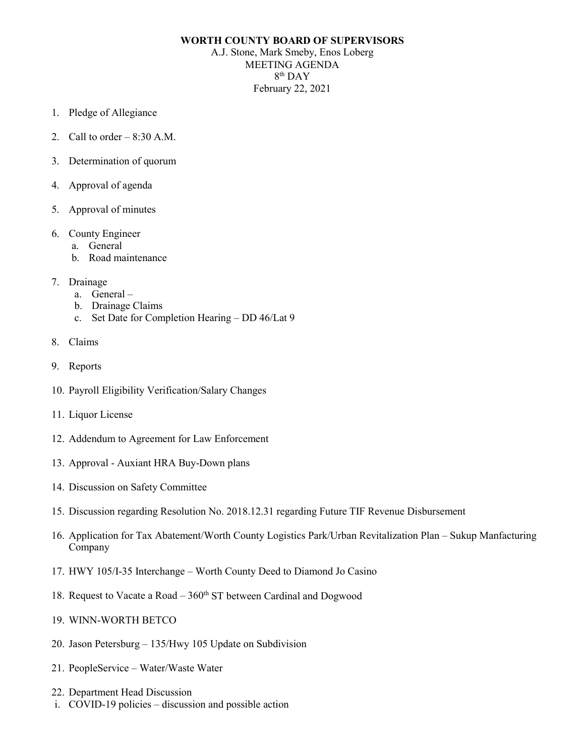## **WORTH COUNTY BOARD OF SUPERVISORS**

A.J. Stone, Mark Smeby, Enos Loberg MEETING AGENDA 8th DAY February 22, 2021

- 1. Pledge of Allegiance
- 2. Call to order  $-8:30$  A.M.
- 3. Determination of quorum
- 4. Approval of agenda
- 5. Approval of minutes
- 6. County Engineer
	- a. General
	- b. Road maintenance
- 7. Drainage
	- a. General –
	- b. Drainage Claims
	- c. Set Date for Completion Hearing DD 46/Lat 9
- 8. Claims
- 9. Reports
- 10. Payroll Eligibility Verification/Salary Changes
- 11. Liquor License
- 12. Addendum to Agreement for Law Enforcement
- 13. Approval Auxiant HRA Buy-Down plans
- 14. Discussion on Safety Committee
- 15. Discussion regarding Resolution No. 2018.12.31 regarding Future TIF Revenue Disbursement
- 16. Application for Tax Abatement/Worth County Logistics Park/Urban Revitalization Plan Sukup Manfacturing Company
- 17. HWY 105/I-35 Interchange Worth County Deed to Diamond Jo Casino
- 18. Request to Vacate a Road  $-360<sup>th</sup>$  ST between Cardinal and Dogwood
- 19. WINN-WORTH BETCO
- 20. Jason Petersburg 135/Hwy 105 Update on Subdivision
- 21. PeopleService Water/Waste Water
- 22. Department Head Discussion
- i. COVID-19 policies discussion and possible action